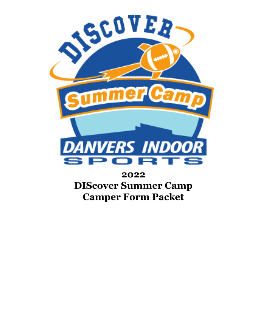

# 2022 **DIScover Summer Camp Camper Form Packet**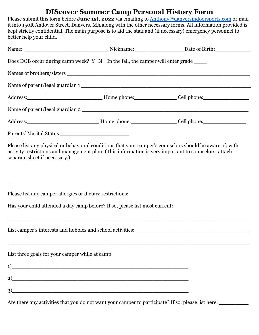## **DIScover Summer Camp Personal History Form**

Please submit this form before **June 1st, 2022** via emailing to [Anthony@danversindoorsports.com](mailto:Anyhony@danversindoorsports.com) or mail it into 150R Andover Street, Danvers, MA along with the other necessary forms. All information provided is kept strictly confidential. The main purpose is to aid the staff and (if necessary) emergency personnel to better help your child.

| Does DOB occur during camp week? Y N In the fall, the camper will enter grade _____                                        |                                                                                                                       |                                                                                                                                                                                                                  |
|----------------------------------------------------------------------------------------------------------------------------|-----------------------------------------------------------------------------------------------------------------------|------------------------------------------------------------------------------------------------------------------------------------------------------------------------------------------------------------------|
|                                                                                                                            |                                                                                                                       |                                                                                                                                                                                                                  |
|                                                                                                                            |                                                                                                                       |                                                                                                                                                                                                                  |
|                                                                                                                            |                                                                                                                       |                                                                                                                                                                                                                  |
|                                                                                                                            |                                                                                                                       | Name of parent/legal guardian 2                                                                                                                                                                                  |
|                                                                                                                            |                                                                                                                       |                                                                                                                                                                                                                  |
|                                                                                                                            |                                                                                                                       |                                                                                                                                                                                                                  |
| separate sheet if necessary.)                                                                                              |                                                                                                                       | Please list any physical or behavioral conditions that your camper's counselors should be aware of, with<br>activity restrictions and management plan: (This information is very important to counselors; attach |
|                                                                                                                            |                                                                                                                       | <u> 1989 - Johann Barn, mars an t-Amerikaansk politiker (* 1989)</u>                                                                                                                                             |
| Has your child attended a day camp before? If so, please list most current:                                                |                                                                                                                       |                                                                                                                                                                                                                  |
|                                                                                                                            |                                                                                                                       |                                                                                                                                                                                                                  |
| List three goals for your camper while at camp:                                                                            |                                                                                                                       |                                                                                                                                                                                                                  |
| 1)<br><u> 1989 - Johann Barn, mars and de Brasilian (b. 1989)</u>                                                          |                                                                                                                       |                                                                                                                                                                                                                  |
| 2)<br><u> 2000 - Jan James James Barnett, amerikan basar dan berasal dalam pengaran basar dalam pengaran basar dalam p</u> |                                                                                                                       |                                                                                                                                                                                                                  |
| 3)                                                                                                                         | <u> 1989 - Johann Stoff, deutscher Stoff, der Stoff, der Stoff, der Stoff, der Stoff, der Stoff, der Stoff, der S</u> |                                                                                                                                                                                                                  |

Are there any activities that you do not want your camper to participate? If so, please list here: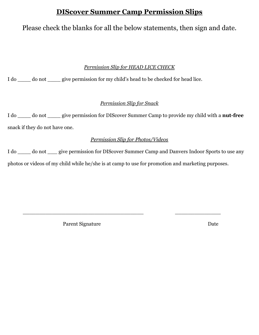## **DIScover Summer Camp Permission Slips**

## Please check the blanks for all the below statements, then sign and date.

### *Permission Slip for HEAD LICE CHECK*

I do  $\frac{1}{2}$  do not give permission for my child's head to be checked for head lice.

### *Permission Slip for Snack*

I do \_\_\_\_ do not \_\_\_\_ give permission for DIScover Summer Camp to provide my child with a **nut-free** snack if they do not have one.

### *Permission Slip for Photos/Videos*

I do \_\_\_\_ do not \_\_\_ give permission for DIScover Summer Camp and Danvers Indoor Sports to use any photos or videos of my child while he/she is at camp to use for promotion and marketing purposes.

\_\_\_\_\_\_\_\_\_\_\_\_\_\_\_\_\_\_\_\_\_\_\_\_\_\_\_\_\_\_\_\_\_\_\_\_\_ \_\_\_\_\_\_\_\_\_\_\_\_\_\_

Parent Signature Date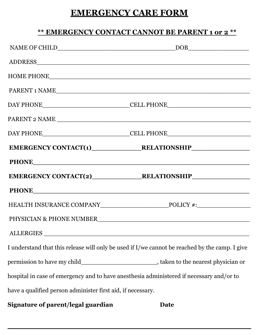# **EMERGENCY CARE FORM**

## **\*\* EMERGENCY CONTACT CANNOT BE PARENT 1 or 2 \*\***

|                                                             | HOME PHONE THE CONSTRUCTION OF THE CONSTRUCTION OF THE CONSTRUCTION OF THE CONSTRUCTION OF THE CONSTRUCTION OF THE CONSTRUCTION OF THE CONSTRUCTION OF THE CONSTRUCTION OF THE CONSTRUCTION OF THE CONSTRUCTION OF THE CONSTRU |
|-------------------------------------------------------------|--------------------------------------------------------------------------------------------------------------------------------------------------------------------------------------------------------------------------------|
|                                                             | PARENT 1 NAME                                                                                                                                                                                                                  |
|                                                             |                                                                                                                                                                                                                                |
|                                                             | PARENT 2 NAME                                                                                                                                                                                                                  |
|                                                             |                                                                                                                                                                                                                                |
|                                                             |                                                                                                                                                                                                                                |
|                                                             |                                                                                                                                                                                                                                |
|                                                             |                                                                                                                                                                                                                                |
|                                                             |                                                                                                                                                                                                                                |
|                                                             |                                                                                                                                                                                                                                |
|                                                             |                                                                                                                                                                                                                                |
| ALLERGIES                                                   |                                                                                                                                                                                                                                |
|                                                             | I understand that this release will only be used if I/we cannot be reached by the camp. I give                                                                                                                                 |
|                                                             |                                                                                                                                                                                                                                |
|                                                             | hospital in case of emergency and to have anesthesia administered if necessary and/or to                                                                                                                                       |
| have a qualified person administer first aid, if necessary. |                                                                                                                                                                                                                                |

**Signature of parent/legal guardian Date**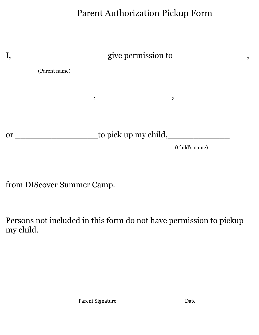Parent Authorization Pickup Form



from DIScover Summer Camp.

Persons not included in this form do not have permission to pickup my child.

 $\mathcal{L}=\mathcal{L}=\mathcal{L}=\mathcal{L}=\mathcal{L}=\mathcal{L}=\mathcal{L}=\mathcal{L}=\mathcal{L}=\mathcal{L}=\mathcal{L}=\mathcal{L}=\mathcal{L}=\mathcal{L}=\mathcal{L}=\mathcal{L}=\mathcal{L}=\mathcal{L}=\mathcal{L}=\mathcal{L}=\mathcal{L}=\mathcal{L}=\mathcal{L}=\mathcal{L}=\mathcal{L}=\mathcal{L}=\mathcal{L}=\mathcal{L}=\mathcal{L}=\mathcal{L}=\mathcal{L}=\mathcal{L}=\mathcal{L}=\mathcal{L}=\mathcal{L}=\mathcal{L}=\mathcal{$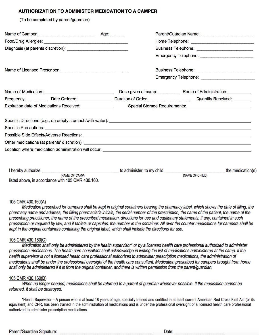#### AUTHORIZATION TO ADMINISTER MEDICATION TO A CAMPER

(To be completed by parent/quardian)

|                                                                                                                | Parent/Guardian Name: __________________________                                                                                                                                                                                     |  |  |
|----------------------------------------------------------------------------------------------------------------|--------------------------------------------------------------------------------------------------------------------------------------------------------------------------------------------------------------------------------------|--|--|
|                                                                                                                |                                                                                                                                                                                                                                      |  |  |
|                                                                                                                |                                                                                                                                                                                                                                      |  |  |
|                                                                                                                |                                                                                                                                                                                                                                      |  |  |
| Name of Licensed Prescriber: Name of Licensed Prescriber:                                                      |                                                                                                                                                                                                                                      |  |  |
|                                                                                                                |                                                                                                                                                                                                                                      |  |  |
| Name of Medication: Manual Manual Manual Manual Manual Manual Manual Manual Manual Manual Manual Manual Manual |                                                                                                                                                                                                                                      |  |  |
|                                                                                                                | Frequency: ___________ Date Ordered: _________________ Duration of Order: ______________________ Quantity Received: ________                                                                                                         |  |  |
|                                                                                                                |                                                                                                                                                                                                                                      |  |  |
|                                                                                                                |                                                                                                                                                                                                                                      |  |  |
|                                                                                                                |                                                                                                                                                                                                                                      |  |  |
|                                                                                                                |                                                                                                                                                                                                                                      |  |  |
|                                                                                                                | Specific Precautions: <u>example and the second second second second second second second second second second second second second second second second second second second second second second second second second second s</u> |  |  |
|                                                                                                                |                                                                                                                                                                                                                                      |  |  |
| Expiration date of Medications Received:<br><u>Expiration</u> date of Medications Received:                    |                                                                                                                                                                                                                                      |  |  |
|                                                                                                                |                                                                                                                                                                                                                                      |  |  |
|                                                                                                                |                                                                                                                                                                                                                                      |  |  |

#### 105 CMR 430.160(A)

Medication prescribed for campers shall be kept in original containers bearing the pharmacy label, which shows the date of filling, the pharmacy name and address, the filling pharmacist's initials, the serial number of the prescription, the name of the patient, the name of the prescribing practitioner, the name of the prescribed medication, directions for use and cautionary statements, if any, contained in such prescription or required by law, and if tablets or capsules, the number in the container. All over the counter medications for campers shall be kept in the original containers containing the original label, which shall include the directions for use.

#### 105 CMR 430.160(C)

Medication shall only be administered by the health supervisor\* or by a licensed health care professional authorized to administer prescription medications. The health care consultant shall acknowledge in writing the list of medications administered at the camp. If the health supervisor is not a licensed health care professional authorized to administer prescription medications, the administration of medications shall be under the professional oversight of the health care consultant. Medication prescribed for campers brought from home shall only be administered if it is from the original container, and there is written permission from the parent/guardian.

#### 105 CMR 430.160(D)

When no longer needed, medications shall be returned to a parent of guardian whenever possible. If the medication cannot be returned, it shall be destroved.

\*Health Supervisor - A person who is at least 18 years of age, specially trained and certified in at least current American Red Cross First Aid (or its equivalent) and CPR, has been trained in the administration of medications and is under the professional oversight of a licensed health care professional authorized to administer prescription medications.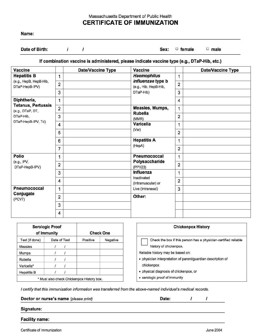### Massachusetts Department of Public Health **CERTIFICATE OF IMMUNIZATION**

| Name: |  |  |  |
|-------|--|--|--|
|       |  |  |  |

 $\overline{I}$ Date of Birth:

 $\overline{I}$ 

Sex:  $\Box$  female  $\square$  male

If combination vaccine is administered, please indicate vaccine type (e.g., DTaP-Hib, etc.)

| <b>Vaccine</b>                                                                     |                | <b>Date/Vaccine Type</b> | <b>Vaccine</b>                                                                              |                | <b>Date/Vaccine Type</b> |
|------------------------------------------------------------------------------------|----------------|--------------------------|---------------------------------------------------------------------------------------------|----------------|--------------------------|
| <b>Hepatitis B</b>                                                                 | 1              |                          | <b>Haemophilus</b>                                                                          | $\mathbf{1}$   |                          |
| (e.g., HepB, HepB-Hib,<br>DTaP-HepB-IPV)                                           | $\overline{2}$ |                          | influenzae type b<br>(e.g., Hib, HepB-Hib,                                                  | $\overline{2}$ |                          |
|                                                                                    | 3              |                          | DTaP-Hib)                                                                                   | 3              |                          |
| Diphtheria,                                                                        | 1              |                          |                                                                                             | $\overline{4}$ |                          |
| <b>Tetanus, Pertussis</b><br>Measles, Mumps,<br>$\overline{2}$<br>(e.g., DTaP, DT, | $\overline{1}$ |                          |                                                                                             |                |                          |
| DTaP-Hib,                                                                          | 3              |                          | <b>Rubella</b><br>(MMR)                                                                     | $\overline{2}$ |                          |
| DTaP-HepB-IPV, Td)                                                                 | $\overline{4}$ |                          | <b>Varicella</b>                                                                            | 1              |                          |
|                                                                                    | 5              |                          | (Var)                                                                                       | $\overline{2}$ |                          |
|                                                                                    | $6\phantom{a}$ |                          | <b>Hepatitis A</b><br>(HepA)                                                                | 1              |                          |
|                                                                                    | $\overline{7}$ |                          |                                                                                             | $\overline{2}$ |                          |
| Polio                                                                              | 1              |                          | Pneumococcal<br>Polysaccharide<br>(PPV23)<br>Influenza<br>Inactivated<br>(Intramuscular) or | $\mathbf{1}$   |                          |
| (e.g., IPV,<br>DTaP-HepB-IPV)                                                      | $\overline{2}$ |                          |                                                                                             | $\overline{2}$ |                          |
|                                                                                    | 3              |                          |                                                                                             | 1              |                          |
|                                                                                    | $\overline{4}$ |                          |                                                                                             | $\overline{2}$ |                          |
| <b>Pneumococcal</b>                                                                | $\mathbf{1}$   |                          | Live (Intranasal)                                                                           | $\overline{3}$ |                          |
| Conjugate<br>(PCV7)                                                                | $\overline{2}$ |                          | Other:                                                                                      |                |                          |
|                                                                                    | 3              |                          |                                                                                             |                |                          |
|                                                                                    | $\overline{4}$ |                          |                                                                                             |                |                          |

| <b>Serologic Proof</b><br>of Immunity |          | <b>Check One</b> |
|---------------------------------------|----------|------------------|
| Date of Test                          | Positive | Negative         |
|                                       |          |                  |
|                                       |          |                  |
|                                       |          |                  |
|                                       |          |                  |
|                                       |          |                  |
|                                       |          |                  |

| <b>Chickenpox History</b>                                                                 |
|-------------------------------------------------------------------------------------------|
| Check the box if this person has a physician-certified reliable<br>history of chickenpox. |
| Reliable history may be based on:                                                         |
| · physician interpretation of parent/guardian description of<br>chickenpox                |

- · physical diagnosis of chickenpox, or
- serologic proof of immunity

I certify that this immunization information was transferred from the above-named individual's medical records.

| Doctor or nurse's name (please print) |  |
|---------------------------------------|--|
|                                       |  |

|  |  | Signature: |
|--|--|------------|

**Facility name:** 

Certificate of Immunization